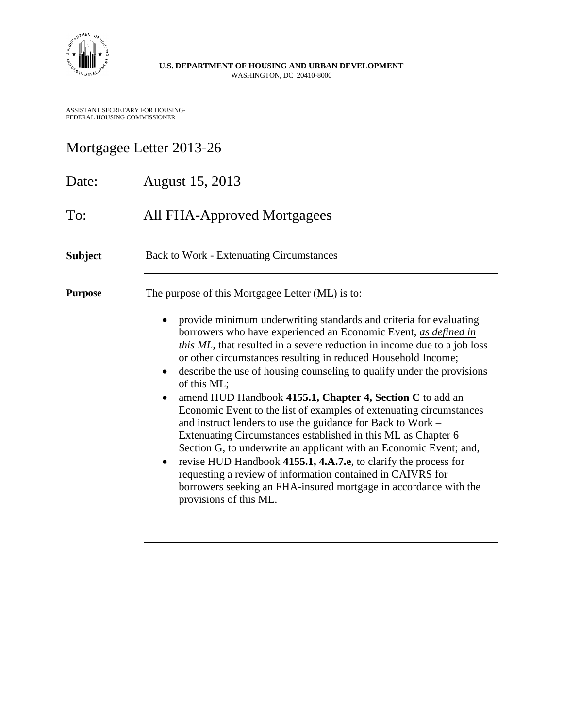

**U.S. DEPARTMENT OF HOUSING AND URBAN DEVELOPMENT** WASHINGTON, DC 20410-8000

ASSISTANT SECRETARY FOR HOUSING-FEDERAL HOUSING COMMISSIONER

## Mortgagee Letter 2013-26

| Date:          | August 15, 2013                                                                                                                                                                                                                                                                                                                                                                                                                                                                                                                                                                                                                                                                                                                                                                                                                                                                                                                                                                                                       |  |  |
|----------------|-----------------------------------------------------------------------------------------------------------------------------------------------------------------------------------------------------------------------------------------------------------------------------------------------------------------------------------------------------------------------------------------------------------------------------------------------------------------------------------------------------------------------------------------------------------------------------------------------------------------------------------------------------------------------------------------------------------------------------------------------------------------------------------------------------------------------------------------------------------------------------------------------------------------------------------------------------------------------------------------------------------------------|--|--|
| To:            | <b>All FHA-Approved Mortgagees</b>                                                                                                                                                                                                                                                                                                                                                                                                                                                                                                                                                                                                                                                                                                                                                                                                                                                                                                                                                                                    |  |  |
| <b>Subject</b> | <b>Back to Work - Extenuating Circumstances</b>                                                                                                                                                                                                                                                                                                                                                                                                                                                                                                                                                                                                                                                                                                                                                                                                                                                                                                                                                                       |  |  |
| <b>Purpose</b> | The purpose of this Mortgagee Letter (ML) is to:<br>provide minimum underwriting standards and criteria for evaluating<br>borrowers who have experienced an Economic Event, as defined in<br>this ML, that resulted in a severe reduction in income due to a job loss<br>or other circumstances resulting in reduced Household Income;<br>describe the use of housing counseling to qualify under the provisions<br>$\bullet$<br>of this ML;<br>amend HUD Handbook 4155.1, Chapter 4, Section C to add an<br>Economic Event to the list of examples of extenuating circumstances<br>and instruct lenders to use the guidance for Back to Work –<br>Extenuating Circumstances established in this ML as Chapter 6<br>Section G, to underwrite an applicant with an Economic Event; and,<br>revise HUD Handbook 4155.1, 4.A.7.e, to clarify the process for<br>requesting a review of information contained in CAIVRS for<br>borrowers seeking an FHA-insured mortgage in accordance with the<br>provisions of this ML. |  |  |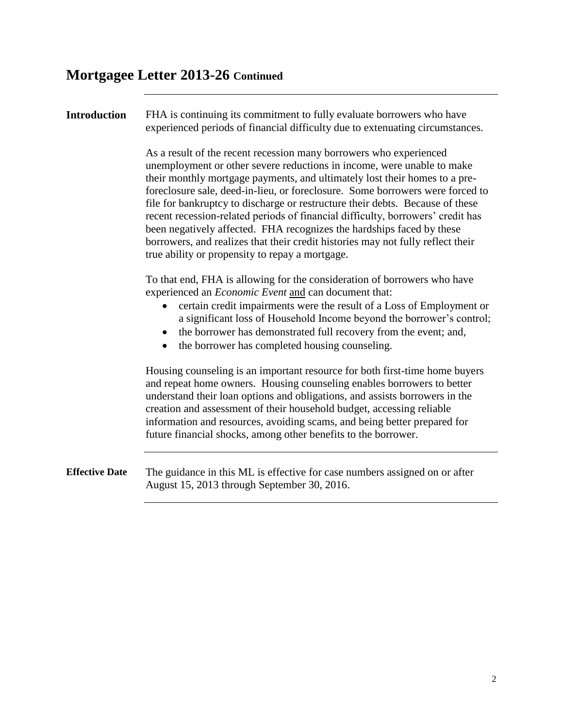#### **Introduction** FHA is continuing its commitment to fully evaluate borrowers who have experienced periods of financial difficulty due to extenuating circumstances.

As a result of the recent recession many borrowers who experienced unemployment or other severe reductions in income, were unable to make their monthly mortgage payments, and ultimately lost their homes to a preforeclosure sale, deed-in-lieu, or foreclosure. Some borrowers were forced to file for bankruptcy to discharge or restructure their debts. Because of these recent recession-related periods of financial difficulty, borrowers' credit has been negatively affected. FHA recognizes the hardships faced by these borrowers, and realizes that their credit histories may not fully reflect their true ability or propensity to repay a mortgage.

To that end, FHA is allowing for the consideration of borrowers who have experienced an *Economic Event* and can document that:

- certain credit impairments were the result of a Loss of Employment or a significant loss of Household Income beyond the borrower's control;
- the borrower has demonstrated full recovery from the event; and,
- the borrower has completed housing counseling.

Housing counseling is an important resource for both first-time home buyers and repeat home owners. Housing counseling enables borrowers to better understand their loan options and obligations, and assists borrowers in the creation and assessment of their household budget, accessing reliable information and resources, avoiding scams, and being better prepared for future financial shocks, among other benefits to the borrower.

**Effective Date** The guidance in this ML is effective for case numbers assigned on or after August 15, 2013 through September 30, 2016.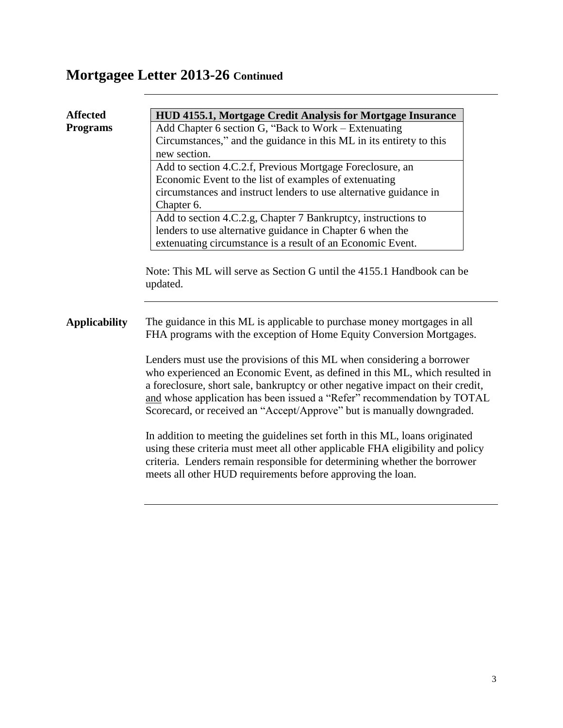| <b>Affected</b>      | HUD 4155.1, Mortgage Credit Analysis for Mortgage Insurance                                                                                                                                                                                                                                                                                                                                   |  |  |
|----------------------|-----------------------------------------------------------------------------------------------------------------------------------------------------------------------------------------------------------------------------------------------------------------------------------------------------------------------------------------------------------------------------------------------|--|--|
| <b>Programs</b>      | Add Chapter 6 section G, "Back to Work – Extenuating                                                                                                                                                                                                                                                                                                                                          |  |  |
|                      | Circumstances," and the guidance in this ML in its entirety to this                                                                                                                                                                                                                                                                                                                           |  |  |
|                      | new section.                                                                                                                                                                                                                                                                                                                                                                                  |  |  |
|                      | Add to section 4.C.2.f, Previous Mortgage Foreclosure, an                                                                                                                                                                                                                                                                                                                                     |  |  |
|                      | Economic Event to the list of examples of extenuating                                                                                                                                                                                                                                                                                                                                         |  |  |
|                      | circumstances and instruct lenders to use alternative guidance in                                                                                                                                                                                                                                                                                                                             |  |  |
|                      | Chapter 6.                                                                                                                                                                                                                                                                                                                                                                                    |  |  |
|                      | Add to section 4.C.2.g, Chapter 7 Bankruptcy, instructions to                                                                                                                                                                                                                                                                                                                                 |  |  |
|                      | lenders to use alternative guidance in Chapter 6 when the                                                                                                                                                                                                                                                                                                                                     |  |  |
|                      | extenuating circumstance is a result of an Economic Event.                                                                                                                                                                                                                                                                                                                                    |  |  |
|                      | updated.                                                                                                                                                                                                                                                                                                                                                                                      |  |  |
| <b>Applicability</b> | The guidance in this ML is applicable to purchase money mortgages in all<br>FHA programs with the exception of Home Equity Conversion Mortgages.                                                                                                                                                                                                                                              |  |  |
|                      | Lenders must use the provisions of this ML when considering a borrower<br>who experienced an Economic Event, as defined in this ML, which resulted in<br>a foreclosure, short sale, bankruptcy or other negative impact on their credit,<br>and whose application has been issued a "Refer" recommendation by TOTAL<br>Scorecard, or received an "Accept/Approve" but is manually downgraded. |  |  |
|                      | In addition to meeting the guidelines set forth in this ML, loans originated<br>using these criteria must meet all other applicable FHA eligibility and policy<br>criteria. Lenders remain responsible for determining whether the borrower<br>meets all other HUD requirements before approving the loan.                                                                                    |  |  |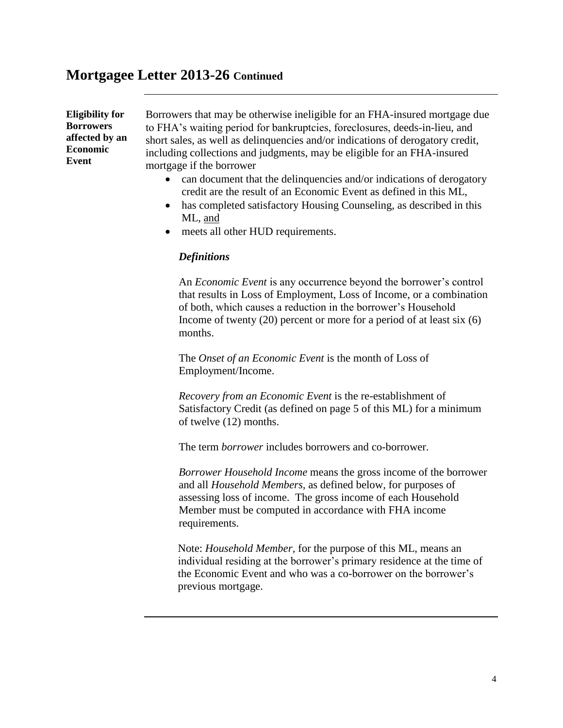**Eligibility for Borrowers affected by an Economic Event**

Borrowers that may be otherwise ineligible for an FHA-insured mortgage due to FHA's waiting period for bankruptcies, foreclosures, deeds-in-lieu, and short sales, as well as delinquencies and/or indications of derogatory credit, including collections and judgments, may be eligible for an FHA-insured mortgage if the borrower

- can document that the delinquencies and/or indications of derogatory credit are the result of an Economic Event as defined in this ML,
- has completed satisfactory Housing Counseling, as described in this ML, and
- meets all other HUD requirements.

#### *Definitions*

An *Economic Event* is any occurrence beyond the borrower's control that results in Loss of Employment, Loss of Income, or a combination of both, which causes a reduction in the borrower's Household Income of twenty (20) percent or more for a period of at least six (6) months.

The *Onset of an Economic Event* is the month of Loss of Employment/Income.

*Recovery from an Economic Event* is the re-establishment of Satisfactory Credit (as defined on page 5 of this ML) for a minimum of twelve (12) months.

The term *borrower* includes borrowers and co-borrower.

*Borrower Household Income* means the gross income of the borrower and all *Household Members,* as defined below*,* for purposes of assessing loss of income. The gross income of each Household Member must be computed in accordance with FHA income requirements.

Note: *Household Member,* for the purpose of this ML, means an individual residing at the borrower's primary residence at the time of the Economic Event and who was a co-borrower on the borrower's previous mortgage.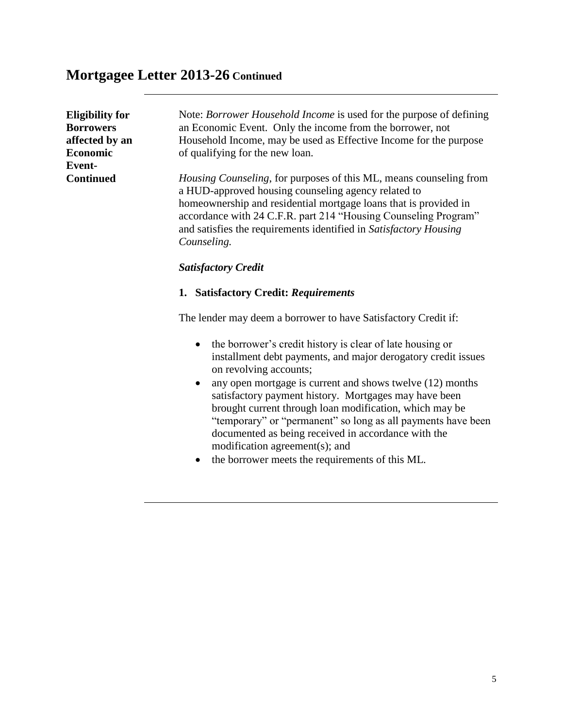| <b>Eligibility for</b><br><b>Borrowers</b><br>affected by an<br><b>Economic</b><br>Event- | Note: <i>Borrower Household Income</i> is used for the purpose of defining<br>an Economic Event. Only the income from the borrower, not<br>Household Income, may be used as Effective Income for the purpose<br>of qualifying for the new loan.                                                                                                              |
|-------------------------------------------------------------------------------------------|--------------------------------------------------------------------------------------------------------------------------------------------------------------------------------------------------------------------------------------------------------------------------------------------------------------------------------------------------------------|
| <b>Continued</b>                                                                          | <i>Housing Counseling</i> , for purposes of this ML, means counseling from<br>a HUD-approved housing counseling agency related to<br>homeownership and residential mortgage loans that is provided in<br>accordance with 24 C.F.R. part 214 "Housing Counseling Program"<br>and satisfies the requirements identified in Satisfactory Housing<br>Counseling. |
|                                                                                           | <b>Satisfactory Credit</b>                                                                                                                                                                                                                                                                                                                                   |
|                                                                                           | <b>Satisfactory Credit: Requirements</b><br>1.                                                                                                                                                                                                                                                                                                               |
|                                                                                           | The lender may deem a borrower to have Satisfactory Credit if:                                                                                                                                                                                                                                                                                               |

- the borrower's credit history is clear of late housing or installment debt payments, and major derogatory credit issues on revolving accounts;
- any open mortgage is current and shows twelve (12) months satisfactory payment history. Mortgages may have been brought current through loan modification, which may be "temporary" or "permanent" so long as all payments have been documented as being received in accordance with the modification agreement(s); and
- the borrower meets the requirements of this ML.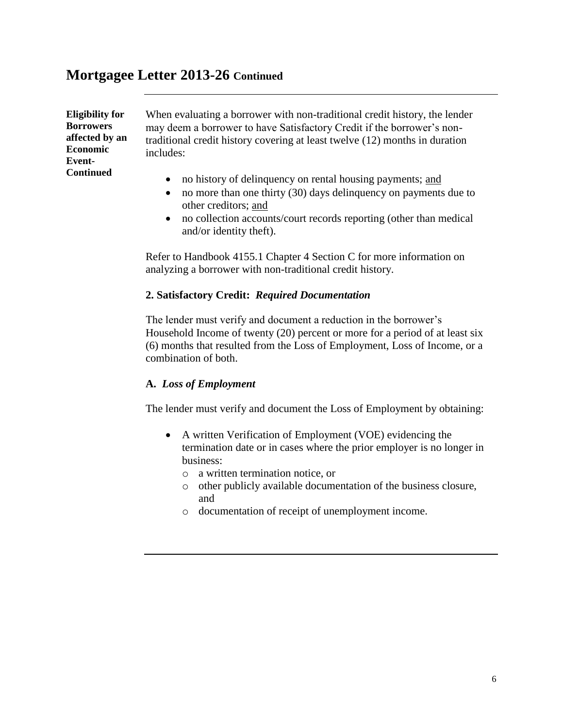**Eligibility for Borrowers affected by an Economic Event-Continued**

When evaluating a borrower with non-traditional credit history, the lender may deem a borrower to have Satisfactory Credit if the borrower's nontraditional credit history covering at least twelve (12) months in duration includes:

- no history of delinquency on rental housing payments; and
- no more than one thirty (30) days delinquency on payments due to other creditors; and
- no collection accounts/court records reporting (other than medical and/or identity theft).

Refer to Handbook 4155.1 Chapter 4 Section C for more information on analyzing a borrower with non-traditional credit history.

#### **2. Satisfactory Credit:** *Required Documentation*

The lender must verify and document a reduction in the borrower's Household Income of twenty (20) percent or more for a period of at least six (6) months that resulted from the Loss of Employment, Loss of Income, or a combination of both.

#### **A.** *Loss of Employment*

The lender must verify and document the Loss of Employment by obtaining:

- A written Verification of Employment (VOE) evidencing the termination date or in cases where the prior employer is no longer in business:
	- o a written termination notice, or
	- o other publicly available documentation of the business closure, and
	- o documentation of receipt of unemployment income.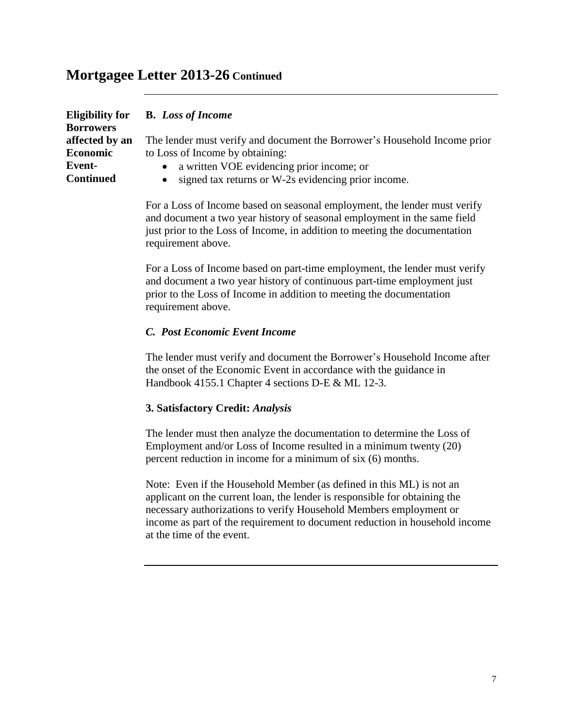| <b>Borrowers</b> | Eligibility for B. Loss of Income                                         |
|------------------|---------------------------------------------------------------------------|
| affected by an   | The lender must verify and document the Borrower's Household Income prior |
| Economic         | to Loss of Income by obtaining:                                           |
| Event-           | • a written VOE evidencing prior income; or                               |
| <b>Continued</b> | • signed tax returns or W-2s evidencing prior income.                     |

For a Loss of Income based on seasonal employment, the lender must verify and document a two year history of seasonal employment in the same field just prior to the Loss of Income, in addition to meeting the documentation requirement above.

For a Loss of Income based on part-time employment, the lender must verify and document a two year history of continuous part-time employment just prior to the Loss of Income in addition to meeting the documentation requirement above.

#### *C. Post Economic Event Income*

The lender must verify and document the Borrower's Household Income after the onset of the Economic Event in accordance with the guidance in Handbook 4155.1 Chapter 4 sections D-E & ML 12-3.

#### **3. Satisfactory Credit:** *Analysis*

The lender must then analyze the documentation to determine the Loss of Employment and/or Loss of Income resulted in a minimum twenty (20) percent reduction in income for a minimum of six (6) months.

Note: Even if the Household Member (as defined in this ML) is not an applicant on the current loan, the lender is responsible for obtaining the necessary authorizations to verify Household Members employment or income as part of the requirement to document reduction in household income at the time of the event.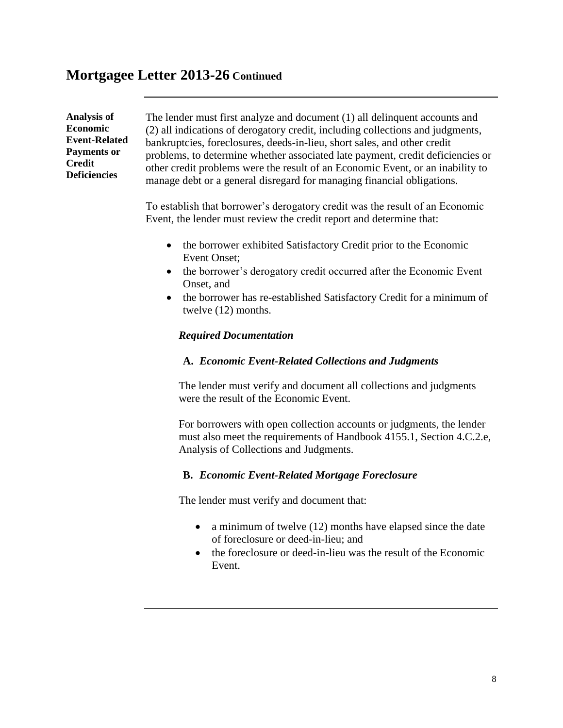**Analysis of Economic Event-Related Payments or Credit Deficiencies**

The lender must first analyze and document (1) all delinquent accounts and (2) all indications of derogatory credit, including collections and judgments, bankruptcies, foreclosures, deeds-in-lieu, short sales, and other credit problems, to determine whether associated late payment, credit deficiencies or other credit problems were the result of an Economic Event, or an inability to manage debt or a general disregard for managing financial obligations.

To establish that borrower's derogatory credit was the result of an Economic Event, the lender must review the credit report and determine that:

- the borrower exhibited Satisfactory Credit prior to the Economic Event Onset;
- the borrower's derogatory credit occurred after the Economic Event Onset, and
- the borrower has re-established Satisfactory Credit for a minimum of twelve (12) months.

#### *Required Documentation*

#### **A.** *Economic Event-Related Collections and Judgments*

The lender must verify and document all collections and judgments were the result of the Economic Event.

For borrowers with open collection accounts or judgments, the lender must also meet the requirements of Handbook 4155.1, Section 4.C.2.e, Analysis of Collections and Judgments.

#### **B.** *Economic Event-Related Mortgage Foreclosure*

The lender must verify and document that:

- a minimum of twelve  $(12)$  months have elapsed since the date of foreclosure or deed-in-lieu; and
- the foreclosure or deed-in-lieu was the result of the Economic Event.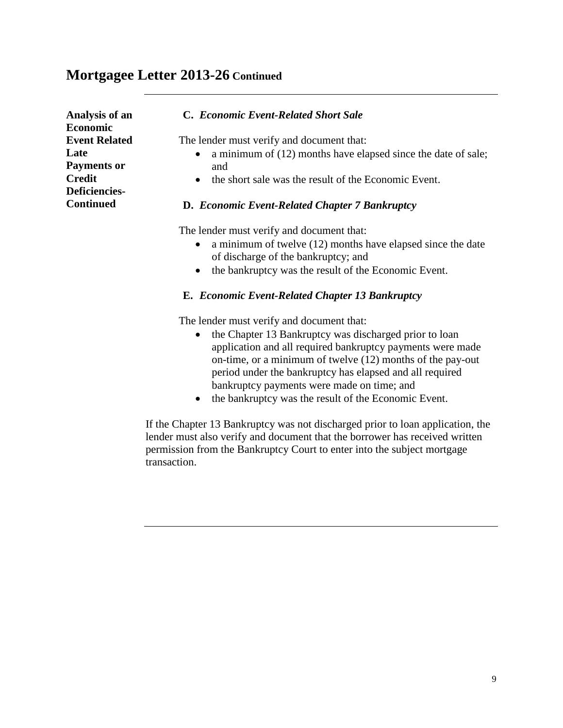| Analysis of an<br><b>Economic</b>                                                    | C. Economic Event-Related Short Sale                                                                                                                                                                                   |
|--------------------------------------------------------------------------------------|------------------------------------------------------------------------------------------------------------------------------------------------------------------------------------------------------------------------|
| <b>Event Related</b><br>Late<br><b>Payments or</b><br><b>Credit</b><br>Deficiencies- | The lender must verify and document that:<br>a minimum of (12) months have elapsed since the date of sale;<br>and<br>the short sale was the result of the Economic Event.<br>$\bullet$                                 |
| <b>Continued</b>                                                                     | D. Economic Event-Related Chapter 7 Bankruptcy                                                                                                                                                                         |
|                                                                                      | The lender must verify and document that:<br>a minimum of twelve $(12)$ months have elapsed since the date<br>of discharge of the bankruptcy; and<br>the bankruptcy was the result of the Economic Event.<br>$\bullet$ |
|                                                                                      | <b>E.</b> Economic Event-Related Chapter 13 Bankruptcy                                                                                                                                                                 |
|                                                                                      | The lender must verify and document that:<br>the Chapter 13 Bankruptcy was discharged prior to loan                                                                                                                    |

- application and all required bankruptcy payments were made on-time, or a minimum of twelve (12) months of the pay-out period under the bankruptcy has elapsed and all required bankruptcy payments were made on time; and
- the bankruptcy was the result of the Economic Event.

If the Chapter 13 Bankruptcy was not discharged prior to loan application, the lender must also verify and document that the borrower has received written permission from the Bankruptcy Court to enter into the subject mortgage transaction.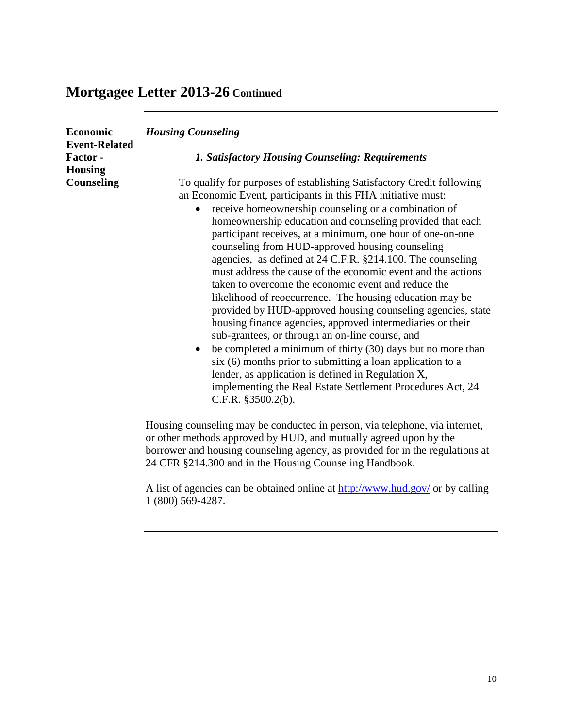| <b>Economic</b>                                   | <b>Housing Counseling</b>                                                                                                                                                                                                                                                                                                                                                                                                                                                                                                                                                                                                                                                                                                                                                                                                                                                                                                                                                                                                                                                                           |
|---------------------------------------------------|-----------------------------------------------------------------------------------------------------------------------------------------------------------------------------------------------------------------------------------------------------------------------------------------------------------------------------------------------------------------------------------------------------------------------------------------------------------------------------------------------------------------------------------------------------------------------------------------------------------------------------------------------------------------------------------------------------------------------------------------------------------------------------------------------------------------------------------------------------------------------------------------------------------------------------------------------------------------------------------------------------------------------------------------------------------------------------------------------------|
| <b>Event-Related</b><br>Factor-<br><b>Housing</b> | <b>1. Satisfactory Housing Counseling: Requirements</b>                                                                                                                                                                                                                                                                                                                                                                                                                                                                                                                                                                                                                                                                                                                                                                                                                                                                                                                                                                                                                                             |
| <b>Counseling</b>                                 | To qualify for purposes of establishing Satisfactory Credit following<br>an Economic Event, participants in this FHA initiative must:<br>receive homeownership counseling or a combination of<br>homeownership education and counseling provided that each<br>participant receives, at a minimum, one hour of one-on-one<br>counseling from HUD-approved housing counseling<br>agencies, as defined at 24 C.F.R. §214.100. The counseling<br>must address the cause of the economic event and the actions<br>taken to overcome the economic event and reduce the<br>likelihood of reoccurrence. The housing education may be<br>provided by HUD-approved housing counseling agencies, state<br>housing finance agencies, approved intermediaries or their<br>sub-grantees, or through an on-line course, and<br>be completed a minimum of thirty (30) days but no more than<br>$\bullet$<br>six (6) months prior to submitting a loan application to a<br>lender, as application is defined in Regulation X,<br>implementing the Real Estate Settlement Procedures Act, 24<br>C.F.R. $§3500.2(b)$ . |
|                                                   | Housing counseling may be conducted in person, via telephone, via internet,<br>or other methods approved by HUD, and mutually agreed upon by the                                                                                                                                                                                                                                                                                                                                                                                                                                                                                                                                                                                                                                                                                                                                                                                                                                                                                                                                                    |

borrower and housing counseling agency, as provided for in the regulations at 24 CFR §214.300 and in the Housing Counseling Handbook.

A list of agencies can be obtained online at<http://www.hud.gov/> or by calling 1 (800) 569-4287.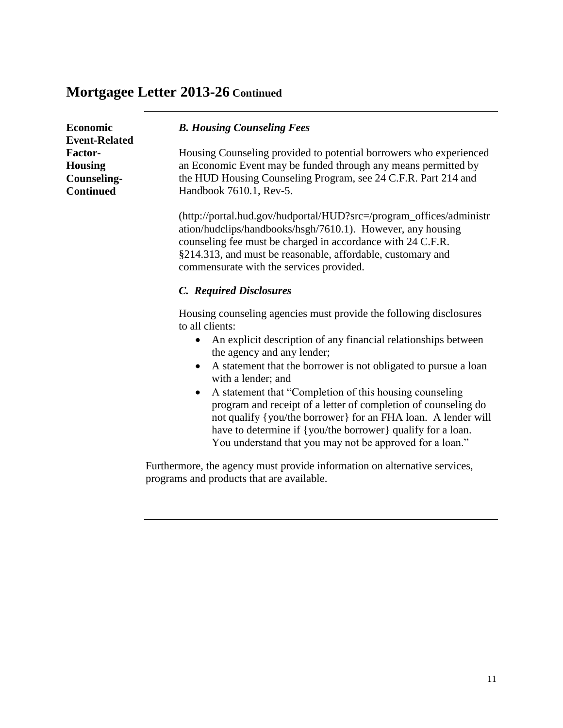| <b>Economic</b><br><b>Event-Related</b>                             | <b>B. Housing Counseling Fees</b>                                                                                                                                                                                                                                                                            |
|---------------------------------------------------------------------|--------------------------------------------------------------------------------------------------------------------------------------------------------------------------------------------------------------------------------------------------------------------------------------------------------------|
| <b>Factor-</b><br><b>Housing</b><br>Counseling-<br><b>Continued</b> | Housing Counseling provided to potential borrowers who experienced<br>an Economic Event may be funded through any means permitted by<br>the HUD Housing Counseling Program, see 24 C.F.R. Part 214 and<br>Handbook 7610.1, Rev-5.                                                                            |
|                                                                     | (http://portal.hud.gov/hudportal/HUD?src=/program_offices/administr<br>ation/hudclips/handbooks/hsgh/7610.1). However, any housing<br>counseling fee must be charged in accordance with 24 C.F.R.<br>§214.313, and must be reasonable, affordable, customary and<br>commensurate with the services provided. |
|                                                                     | C. Required Disclosures                                                                                                                                                                                                                                                                                      |
|                                                                     |                                                                                                                                                                                                                                                                                                              |

Housing counseling agencies must provide the following disclosures to all clients:

- An explicit description of any financial relationships between the agency and any lender;
- A statement that the borrower is not obligated to pursue a loan with a lender; and
- A statement that "Completion of this housing counseling program and receipt of a letter of completion of counseling do not qualify {you/the borrower} for an FHA loan. A lender will have to determine if {you/the borrower} qualify for a loan. You understand that you may not be approved for a loan."

Furthermore, the agency must provide information on alternative services, programs and products that are available.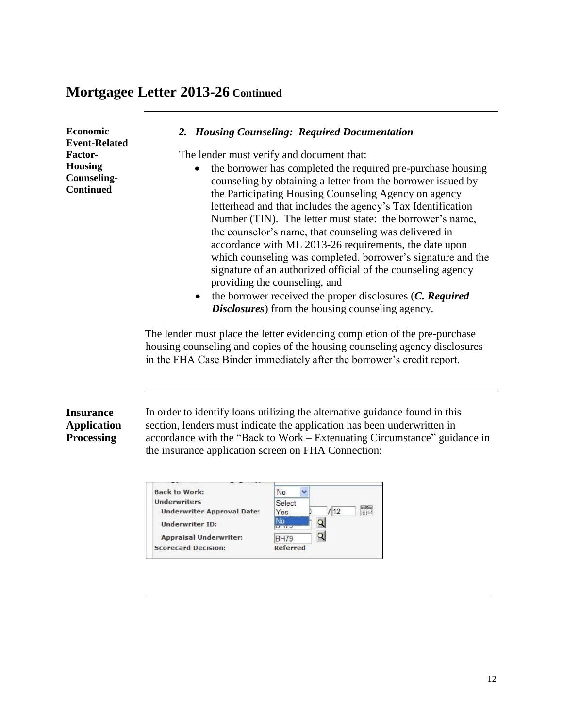| Economic<br><b>Event-Related</b><br>Factor-<br><b>Housing</b><br><b>Counseling-</b><br><b>Continued</b> | The lender must verify and document that:<br>the borrower has completed the required pre-purchase housing<br>counseling by obtaining a letter from the borrower issued by<br>the Participating Housing Counseling Agency on agency<br>letterhead and that includes the agency's Tax Identification<br>Number (TIN). The letter must state: the borrower's name,<br>the counselor's name, that counseling was delivered in<br>accordance with ML 2013-26 requirements, the date upon<br>which counseling was completed, borrower's signature and the<br>signature of an authorized official of the counseling agency<br>providing the counseling, and<br>the borrower received the proper disclosures (C. Required<br><b>Disclosures</b> ) from the housing counseling agency.<br>The lender must place the letter evidencing completion of the pre-purchase<br>housing counseling and copies of the housing counseling agency disclosures<br>in the FHA Case Binder immediately after the borrower's credit report. |  |
|---------------------------------------------------------------------------------------------------------|---------------------------------------------------------------------------------------------------------------------------------------------------------------------------------------------------------------------------------------------------------------------------------------------------------------------------------------------------------------------------------------------------------------------------------------------------------------------------------------------------------------------------------------------------------------------------------------------------------------------------------------------------------------------------------------------------------------------------------------------------------------------------------------------------------------------------------------------------------------------------------------------------------------------------------------------------------------------------------------------------------------------|--|
| <b>Insurance</b><br><b>Application</b><br><b>Processing</b>                                             | In order to identify loans utilizing the alternative guidance found in this<br>section, lenders must indicate the application has been underwritten in<br>accordance with the "Back to Work – Extenuating Circumstance" guidance in<br>the insurance application screen on FHA Connection:                                                                                                                                                                                                                                                                                                                                                                                                                                                                                                                                                                                                                                                                                                                          |  |

| <b>Back to Work:</b>              | No          |
|-----------------------------------|-------------|
| <b>Underwriters</b>               | Select      |
| <b>Underwriter Approval Date:</b> | 12<br>Yes   |
| Underwriter ID:                   |             |
| <b>Appraisal Underwriter:</b>     | <b>BH79</b> |
| <b>Scorecard Decision:</b>        | Referred    |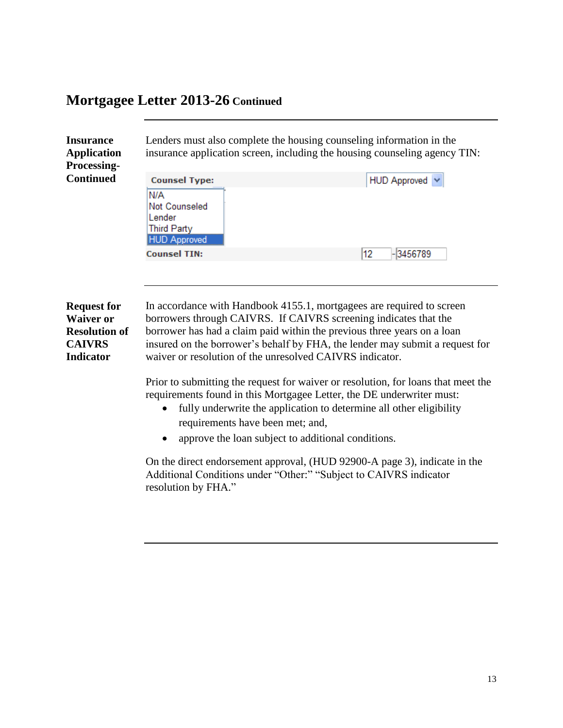**CAIVRS** 

| Lenders must also complete the housing counseling information in the<br><b>Insurance</b><br>insurance application screen, including the housing counseling agency TIN:<br><b>Application</b><br><b>Processing-</b> |                                                                                                            |                     |
|--------------------------------------------------------------------------------------------------------------------------------------------------------------------------------------------------------------------|------------------------------------------------------------------------------------------------------------|---------------------|
| <b>Continued</b>                                                                                                                                                                                                   | <b>Counsel Type:</b><br>N/A<br><b>Not Counseled</b><br>Lender<br><b>Third Party</b><br><b>HUD Approved</b> | HUD Approved $\vee$ |
|                                                                                                                                                                                                                    | <b>Counsel TIN:</b>                                                                                        | $-3456789$<br>12    |

**Request for Waiver or Resolution of Indicator** In accordance with Handbook 4155.1, mortgagees are required to screen borrowers through CAIVRS. If CAIVRS screening indicates that the borrower has had a claim paid within the previous three years on a loan insured on the borrower's behalf by FHA, the lender may submit a request for waiver or resolution of the unresolved CAIVRS indicator.

> Prior to submitting the request for waiver or resolution, for loans that meet the requirements found in this Mortgagee Letter, the DE underwriter must:

- fully underwrite the application to determine all other eligibility requirements have been met; and,
- approve the loan subject to additional conditions.

On the direct endorsement approval, (HUD 92900-A page 3), indicate in the Additional Conditions under "Other:" "Subject to CAIVRS indicator resolution by FHA."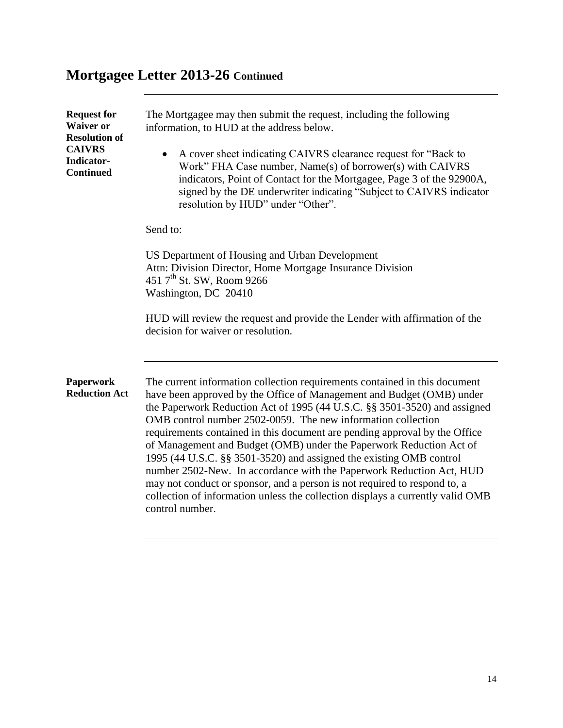| <b>Request for</b><br><b>Waiver or</b><br><b>Resolution of</b><br><b>CAIVRS</b><br>Indicator-<br><b>Continued</b> | The Mortgagee may then submit the request, including the following<br>information, to HUD at the address below.<br>A cover sheet indicating CAIVRS clearance request for "Back to<br>Work" FHA Case number, Name(s) of borrower(s) with CAIVRS<br>indicators, Point of Contact for the Mortgagee, Page 3 of the 92900A,<br>signed by the DE underwriter indicating "Subject to CAIVRS indicator<br>resolution by HUD" under "Other".                                                                                                                                                                                                                                                                                                                                                   |
|-------------------------------------------------------------------------------------------------------------------|----------------------------------------------------------------------------------------------------------------------------------------------------------------------------------------------------------------------------------------------------------------------------------------------------------------------------------------------------------------------------------------------------------------------------------------------------------------------------------------------------------------------------------------------------------------------------------------------------------------------------------------------------------------------------------------------------------------------------------------------------------------------------------------|
|                                                                                                                   | Send to:                                                                                                                                                                                                                                                                                                                                                                                                                                                                                                                                                                                                                                                                                                                                                                               |
|                                                                                                                   | US Department of Housing and Urban Development<br>Attn: Division Director, Home Mortgage Insurance Division<br>451 7 <sup>th</sup> St. SW, Room 9266<br>Washington, DC 20410<br>HUD will review the request and provide the Lender with affirmation of the<br>decision for waiver or resolution.                                                                                                                                                                                                                                                                                                                                                                                                                                                                                       |
| <b>Paperwork</b><br><b>Reduction Act</b>                                                                          | The current information collection requirements contained in this document<br>have been approved by the Office of Management and Budget (OMB) under<br>the Paperwork Reduction Act of 1995 (44 U.S.C. §§ 3501-3520) and assigned<br>OMB control number 2502-0059. The new information collection<br>requirements contained in this document are pending approval by the Office<br>of Management and Budget (OMB) under the Paperwork Reduction Act of<br>1995 (44 U.S.C. §§ 3501-3520) and assigned the existing OMB control<br>number 2502-New. In accordance with the Paperwork Reduction Act, HUD<br>may not conduct or sponsor, and a person is not required to respond to, a<br>collection of information unless the collection displays a currently valid OMB<br>control number. |